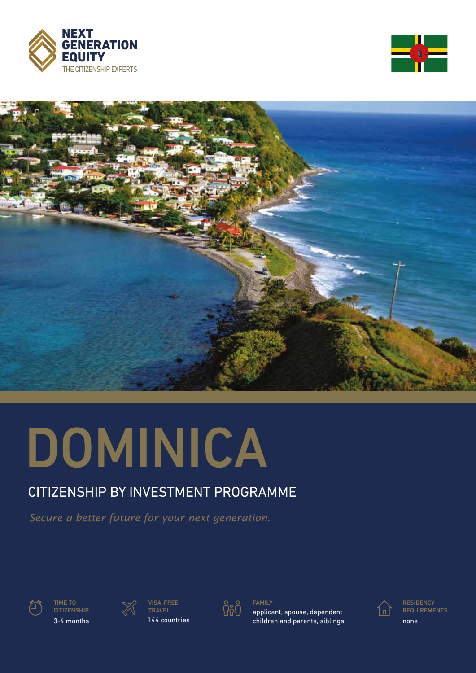





# DOMINICA

## CITIZENSHIP BY INVESTMENT PROGRAMME

*Secure a better future for your next generation.*



TIME TO **CITIZENSHIP** 



3-4 months 144 countries VISA-FREE TRAVEL



FAMILY

applicant, spouse, dependent children and parents, siblings



**RESIDENCY REQUIREMENTS** none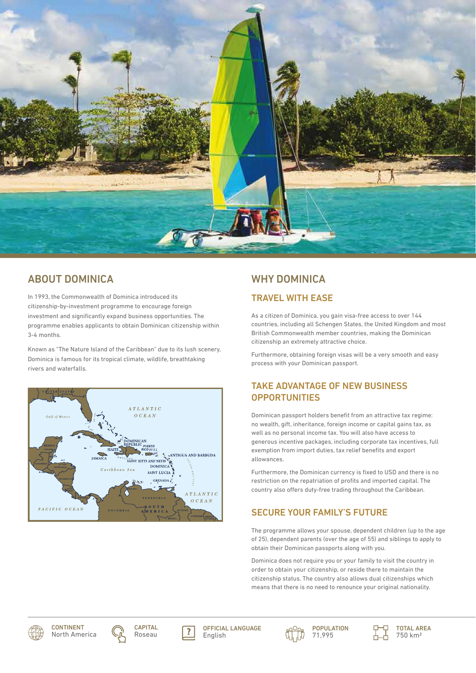

## ABOUT DOMINICA

In 1993, the Commonwealth of Dominica introduced its citizenship-by-investment programme to encourage foreign investment and significantly expand business opportunities. The programme enables applicants to obtain Dominican citizenship within 3-4 months.

Known as "The Nature Island of the Caribbean" due to its lush scenery, Dominica is famous for its tropical climate, wildlife, breathtaking rivers and waterfalls.



# WHY DOMINICA

## TRAVEL WITH EASE

As a citizen of Dominica, you gain visa-free access to over 144 countries, including all Schengen States, the United Kingdom and most British Commonwealth member countries, making the Dominican citizenship an extremely attractive choice.

Furthermore, obtaining foreign visas will be a very smooth and easy process with your Dominican passport.

## TAKE ADVANTAGE OF NEW BUSINESS **OPPORTUNITIES**

Dominican passport holders benefit from an attractive tax regime: no wealth, gift, inheritance, foreign income or capital gains tax, as well as no personal income tax. You will also have access to generous incentive packages, including corporate tax incentives, full exemption from import duties, tax relief benefits and export allowances.

Furthermore, the Dominican currency is fixed to USD and there is no restriction on the repatriation of profits and imported capital. The country also offers duty-free trading throughout the Caribbean.

## SECURE YOUR FAMILY'S FUTURE

The programme allows your spouse, dependent children (up to the age of 25), dependent parents (over the age of 55) and siblings to apply to obtain their Dominican passports along with you.

Dominica does not require you or your family to visit the country in order to obtain your citizenship, or reside there to maintain the citizenship status. The country also allows dual citizenships which means that there is no need to renounce your original nationality.









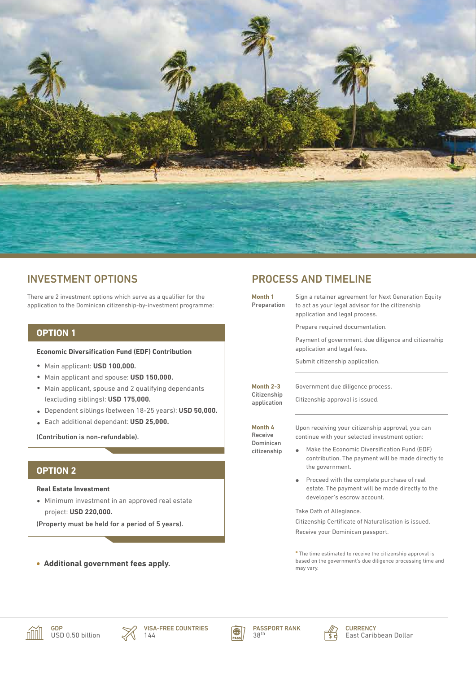

## INVESTMENT OPTIONS

There are 2 investment options which serve as a qualifier for the application to the Dominican citizenship-by-investment programme:

## **OPTION 1**

#### **Economic Diversification Fund (EDF) Contribution**

- Main applicant: **USD 100,000.**
- Main applicant and spouse: **USD 150,000.**
- Main applicant, spouse and 2 qualifying dependants (excluding siblings): **USD 175,000.**
- Dependent siblings (between 18-25 years): **USD 50,000.**
- Each additional dependant: **USD 25,000.**

(Contribution is non-refundable).

## **OPTION 2**

**Real Estate Investment**

Minimum investment in an approved real estate project: **USD 220,000.** 

(Property must be held for a period of 5 years).

**Additional government fees apply.**

## PROCESS AND TIMELINE

| Month 1<br>Preparation                    | Sign a retainer agreement for Next Generation Equity<br>to act as your legal advisor for the citizenship<br>application and legal process. |
|-------------------------------------------|--------------------------------------------------------------------------------------------------------------------------------------------|
|                                           | Prepare required documentation.                                                                                                            |
|                                           | Payment of government, due diligence and citizenship<br>application and legal fees.                                                        |
|                                           | Submit citizenship application.                                                                                                            |
| Month $2-3$<br>Citizenship<br>application | Government due diligence process.<br>Citizenship approval is issued.                                                                       |
| Month 4<br>Receive                        | Upon receiving your citizenship approval, you can                                                                                          |
|                                           | continue with your selected investment option:                                                                                             |
| Dominican<br>citizenship                  | Make the Economic Diversification Fund (EDF)<br>the government.                                                                            |
|                                           | Proceed with the complete purchase of real<br>$\bullet$<br>estate. The payment will be made directly to the<br>developer's escrow account. |
|                                           | Take Oath of Allegiance.                                                                                                                   |
|                                           | contribution. The payment will be made directly to<br>Citizenship Certificate of Naturalisation is issued.                                 |

**\*** The time estimated to receive the citizenship approval is based on the government's due diligence processing time and may vary.